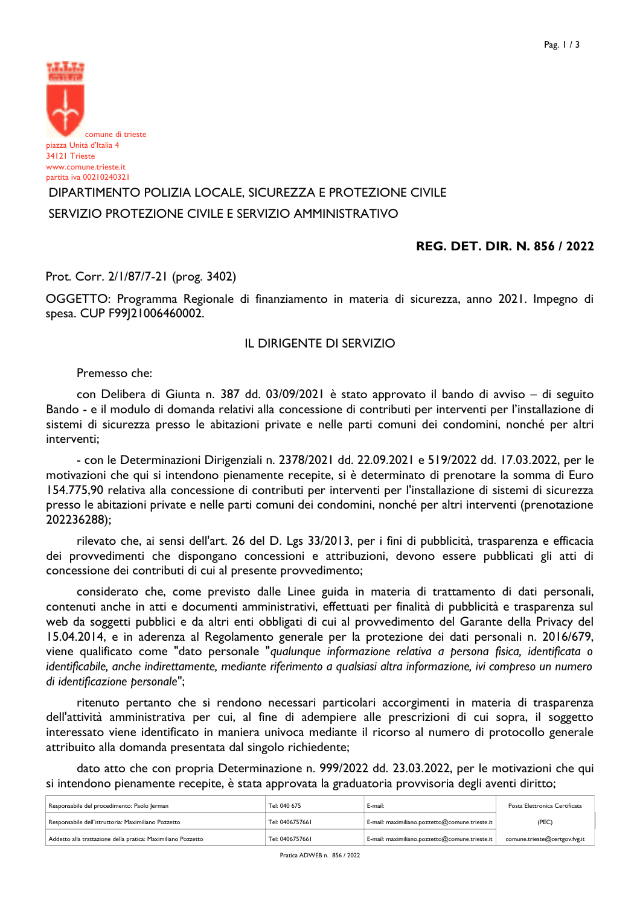

# DIPARTIMENTO POLIZIA LOCALE, SICUREZZA E PROTEZIONE CIVILE SERVIZIO PROTEZIONE CIVILE E SERVIZIO AMMINISTRATIVO

## REG. DET. DIR. N. 856 / 2022

Prot. Corr. 2/1/87/7-21 (prog. 3402)

OGGETTO: Programma Regionale di finanziamento in materia di sicurezza, anno 2021. Impegno di spesa. CUP F99|21006460002.

## **IL DIRIGENTE DI SERVIZIO**

Premesso che:

con Delibera di Giunta n. 387 dd. 03/09/2021 è stato approvato il bando di avviso - di seguito Bando - e il modulo di domanda relativi alla concessione di contributi per interventi per l'installazione di sistemi di sicurezza presso le abitazioni private e nelle parti comuni dei condomini, nonché per altri interventi;

- con le Determinazioni Dirigenziali n. 2378/2021 dd. 22.09.2021 e 519/2022 dd. 17.03.2022, per le motivazioni che qui si intendono pienamente recepite, si è determinato di prenotare la somma di Euro 154.775,90 relativa alla concessione di contributi per interventi per l'installazione di sistemi di sicurezza presso le abitazioni private e nelle parti comuni dei condomini, nonché per altri interventi (prenotazione 202236288);

rilevato che, ai sensi dell'art. 26 del D. Lgs 33/2013, per i fini di pubblicità, trasparenza e efficacia dei provvedimenti che dispongano concessioni e attribuzioni, devono essere pubblicati gli atti di concessione dei contributi di cui al presente provvedimento;

considerato che, come previsto dalle Linee guida in materia di trattamento di dati personali, contenuti anche in atti e documenti amministrativi, effettuati per finalità di pubblicità e trasparenza sul web da soggetti pubblici e da altri enti obbligati di cui al provvedimento del Garante della Privacy del 15.04.2014, e in aderenza al Regolamento generale per la protezione dei dati personali n. 2016/679, viene qualificato come "dato personale "qualunque informazione relativa a persona fisica, identificata o identificabile, anche indirettamente, mediante riferimento a qualsiasi altra informazione, ivi compreso un numero di identificazione personale";

ritenuto pertanto che si rendono necessari particolari accorgimenti in materia di trasparenza dell'attività amministrativa per cui, al fine di adempiere alle prescrizioni di cui sopra, il soggetto interessato viene identificato in maniera univoca mediante il ricorso al numero di protocollo generale attribuito alla domanda presentata dal singolo richiedente;

dato atto che con propria Determinazione n. 999/2022 dd. 23.03.2022, per le motivazioni che qui si intendono pienamente recepite, è stata approvata la graduatoria provvisoria degli aventi diritto;

| Responsabile del procedimento: Paolo Jerman                  | Tel: 040 675    | E-mail:                                        | Posta Elettronica Certificata |
|--------------------------------------------------------------|-----------------|------------------------------------------------|-------------------------------|
| Responsabile dell'istruttoria: Maximiliano Pozzetto          | Tel: 0406757661 | E-mail: maximiliano.pozzetto@comune.trieste.it | (PEC)                         |
| Addetto alla trattazione della pratica: Maximiliano Pozzetto | Tel: 0406757661 | E-mail: maximiliano.pozzetto@comune.trieste.it | comune.trieste@certgov.fvg.it |

Pratica ADWEB n. 856 / 2022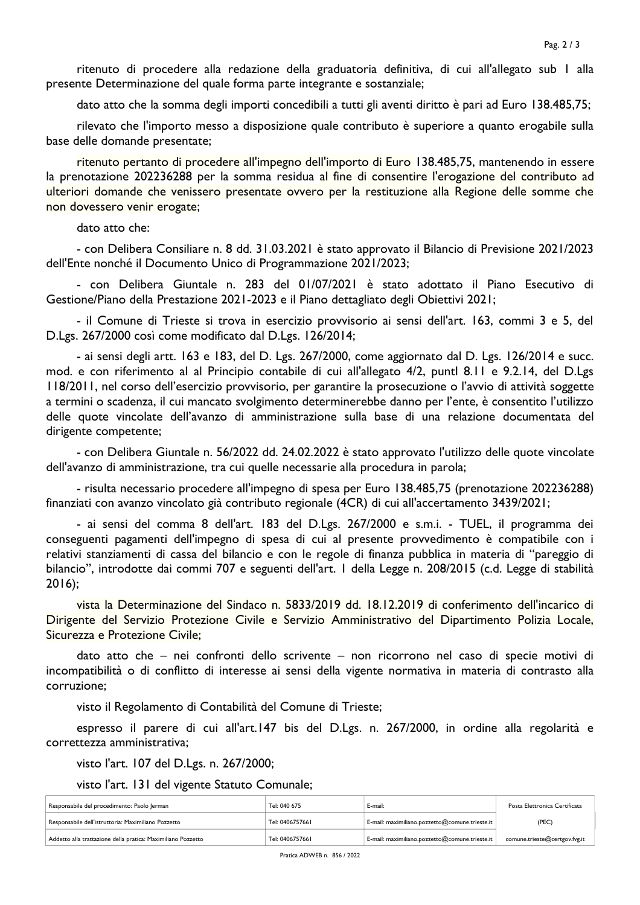ritenuto di procedere alla redazione della graduatoria definitiva, di cui all'allegato sub I alla presente Determinazione del quale forma parte integrante e sostanziale;

dato atto che la somma degli importi concedibili a tutti gli aventi diritto è pari ad Euro 138.485,75;

rilevato che l'importo messo a disposizione quale contributo è superiore a quanto erogabile sulla base delle domande presentate;

ritenuto pertanto di procedere all'impegno dell'importo di Euro 138.485.75, mantenendo in essere la prenotazione 202236288 per la somma residua al fine di consentire l'erogazione del contributo ad ulteriori domande che venissero presentate ovvero per la restituzione alla Regione delle somme che non dovessero venir erogate;

### dato atto che:

- con Delibera Consiliare n. 8 dd. 31.03.2021 è stato approvato il Bilancio di Previsione 2021/2023 dell'Ente nonché il Documento Unico di Programmazione 2021/2023;

- con Delibera Giuntale n. 283 del 01/07/2021 è stato adottato il Piano Esecutivo di Gestione/Piano della Prestazione 2021-2023 e il Piano dettagliato degli Obiettivi 2021;

- il Comune di Trieste si trova in esercizio provvisorio ai sensi dell'art. 163, commi 3 e 5, del D.Lgs. 267/2000 così come modificato dal D.Lgs. 126/2014;

- ai sensi degli artt. 163 e 183, del D. Lgs. 267/2000, come aggiornato dal D. Lgs. 126/2014 e succ. mod. e con riferimento al al Principio contabile di cui all'allegato 4/2, puntl 8.11 e 9.2.14, del D.Lgs II8/2011, nel corso dell'esercizio provvisorio, per garantire la prosecuzione o l'avvio di attività soggette a termini o scadenza, il cui mancato svolgimento determinerebbe danno per l'ente, è consentito l'utilizzo delle quote vincolate dell'avanzo di amministrazione sulla base di una relazione documentata del dirigente competente;

- con Delibera Giuntale n. 56/2022 dd. 24.02.2022 è stato approvato l'utilizzo delle quote vincolate dell'avanzo di amministrazione, tra cui quelle necessarie alla procedura in parola;

- risulta necessario procedere all'impegno di spesa per Euro 138.485.75 (prenotazione 202236288) finanziati con avanzo vincolato già contributo regionale (4CR) di cui all'accertamento 3439/2021;

- ai sensi del comma 8 dell'art. 183 del D.Lgs. 267/2000 e s.m.i. - TUEL, il programma dei conseguenti pagamenti dell'impegno di spesa di cui al presente provvedimento è compatibile con i relativi stanziamenti di cassa del bilancio e con le regole di finanza pubblica in materia di "pareggio di bilancio", introdotte dai commi 707 e seguenti dell'art. I della Legge n. 208/2015 (c.d. Legge di stabilità  $2016$ ;

vista la Determinazione del Sindaco n. 5833/2019 dd. 18.12.2019 di conferimento dell'incarico di Dirigente del Servizio Protezione Civile e Servizio Amministrativo del Dipartimento Polizia Locale, Sicurezza e Protezione Civile;

dato atto che - nei confronti dello scrivente - non ricorrono nel caso di specie motivi di incompatibilità o di conflitto di interesse ai sensi della vigente normativa in materia di contrasto alla corruzione;

visto il Regolamento di Contabilità del Comune di Trieste;

espresso il parere di cui all'art.147 bis del D.Lgs. n. 267/2000, in ordine alla regolarità e correttezza amministrativa;

visto l'art. 107 del D.Lgs. n. 267/2000;

visto l'art. 131 del vigente Statuto Comunale;

| Responsabile del procedimento: Paolo Jerman                  | Tel: 040 675    | E-mail:                                        | Posta Elettronica Certificata |
|--------------------------------------------------------------|-----------------|------------------------------------------------|-------------------------------|
| Responsabile dell'istruttoria: Maximiliano Pozzetto          | Tel: 0406757661 | E-mail: maximiliano.pozzetto@comune.trieste.it | (PEC)                         |
| Addetto alla trattazione della pratica: Maximiliano Pozzetto | Tel: 0406757661 | E-mail: maximiliano.pozzetto@comune.trieste.it | comune.trieste@certgov.fvg.it |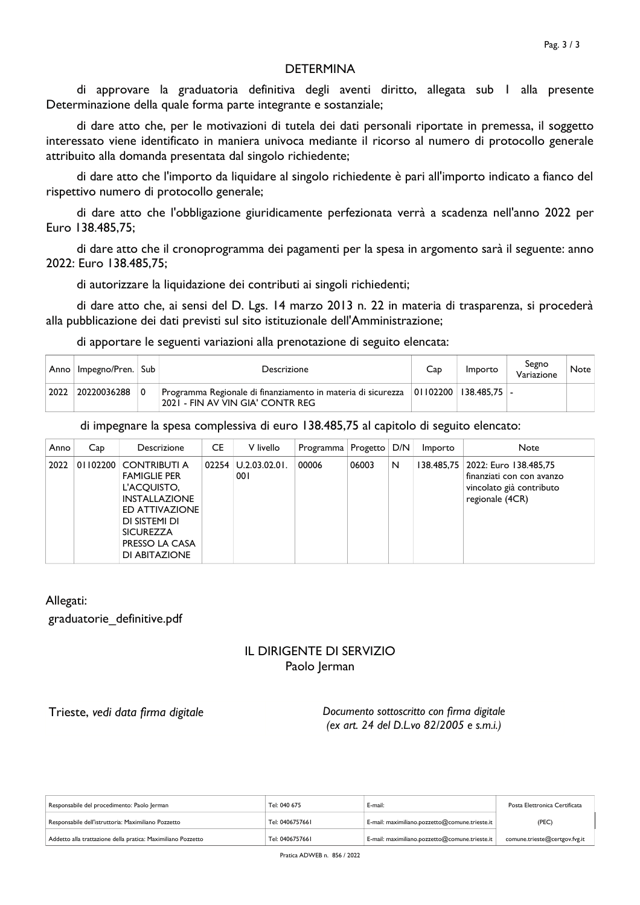## **DETERMINA**

di approvare la graduatoria definitiva degli aventi diritto, allegata sub I alla presente Determinazione della quale forma parte integrante e sostanziale;

di dare atto che, per le motivazioni di tutela dei dati personali riportate in premessa, il soggetto interessato viene identificato in maniera univoca mediante il ricorso al numero di protocollo generale attribuito alla domanda presentata dal singolo richiedente;

di dare atto che l'importo da liquidare al singolo richiedente è pari all'importo indicato a fianco del rispettivo numero di protocollo generale;

di dare atto che l'obbligazione giuridicamente perfezionata verrà a scadenza nell'anno 2022 per Euro 138.485,75;

di dare atto che il cronoprogramma dei pagamenti per la spesa in argomento sarà il seguente: anno 2022: Euro 138.485.75:

di autorizzare la liquidazione dei contributi ai singoli richiedenti;

di dare atto che, ai sensi del D. Lgs. 14 marzo 2013 n. 22 in materia di trasparenza, si procederà alla pubblicazione dei dati previsti sul sito istituzionale dell'Amministrazione;

di apportare le seguenti variazioni alla prenotazione di seguito elencata:

|      | Anno   Impegno/Pren.   Sub | Descrizione                                                                                                            | Cap | Importo | Segno<br>Variazione | <b>Note</b> |
|------|----------------------------|------------------------------------------------------------------------------------------------------------------------|-----|---------|---------------------|-------------|
| 2022 | 20220036288                | Programma Regionale di finanziamento in materia di sicurezza 01102200 138.485,75 -<br>2021 - FIN AV VIN GIA' CONTR REG |     |         |                     |             |

di impegnare la spesa complessiva di euro 138.485,75 al capitolo di seguito elencato:

| Anno | Cap      | Descrizione                                                                                                                                                          | CE | V livello                        | Programma | Progetto | D/N | Importo | <b>Note</b>                                                                                                  |
|------|----------|----------------------------------------------------------------------------------------------------------------------------------------------------------------------|----|----------------------------------|-----------|----------|-----|---------|--------------------------------------------------------------------------------------------------------------|
| 2022 | 01102200 | CONTRIBUTI A<br><b>FAMIGLIE PER</b><br>L'ACQUISTO,<br><b>INSTALLAZIONE</b><br>ED ATTIVAZIONE<br>DI SISTEMI DI<br><b>SICUREZZA</b><br>PRESSO LA CASA<br>DI ABITAZIONE |    | $02254$ $ $ U.2.03.02.01.<br>001 | 00006     | 06003    | N   |         | 138.485,75 2022: Euro 138.485,75<br>finanziati con con avanzo<br>vincolato già contributo<br>regionale (4CR) |

Allegati:

graduatorie definitive.pdf

## **IL DIRIGENTE DI SERVIZIO** Paolo lerman

Trieste, vedi data firma digitale

Documento sottoscritto con firma digitale (ex art. 24 del D.L.vo 82/2005 e s.m.i.)

| Responsabile del procedimento: Paolo Jerman                  | Tel: 040 675    | E-mail:                                        | Posta Elettronica Certificata |
|--------------------------------------------------------------|-----------------|------------------------------------------------|-------------------------------|
| Responsabile dell'istruttoria: Maximiliano Pozzetto          | Tel: 0406757661 | E-mail: maximiliano.pozzetto@comune.trieste.it | (PEC)                         |
| Addetto alla trattazione della pratica: Maximiliano Pozzetto | Tel: 0406757661 | E-mail: maximiliano.pozzetto@comune.trieste.it | comune.trieste@certgov.fvg.it |

Pratica ADWEB n. 856 / 2022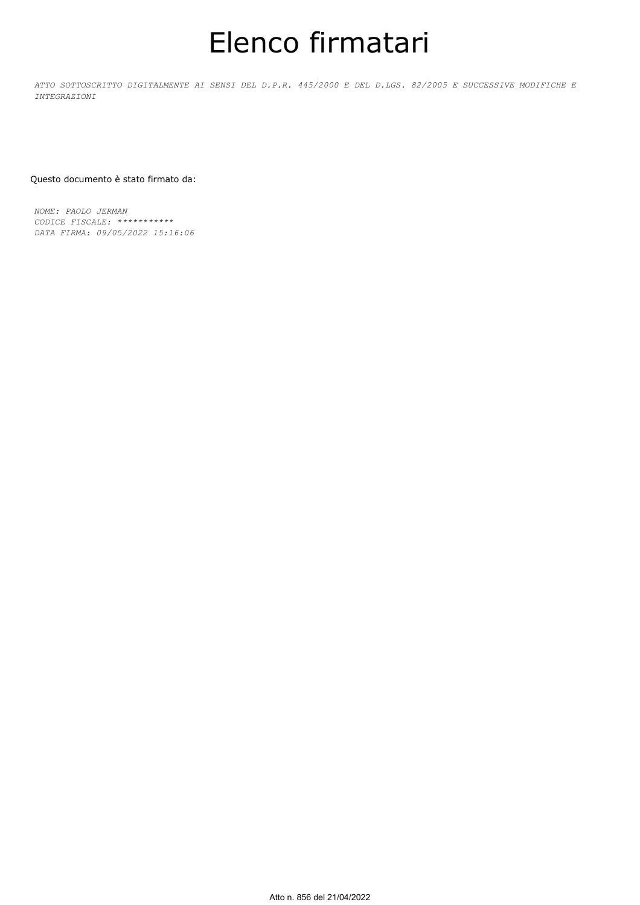# Elenco firmatari

*ATTO SOTTOSCRITTO DIGITALMENTE AI SENSI DEL D.P.R. 445/2000 E DEL D.LGS. 82/2005 E SUCCESSIVE MODIFICHE E INTEGRAZIONI*

#### Questo documento è stato firmato da:

*NOME: PAOLO JERMAN CODICE FISCALE: \*\*\*\*\*\*\*\*\*\*\* DATA FIRMA: 09/05/2022 15:16:06*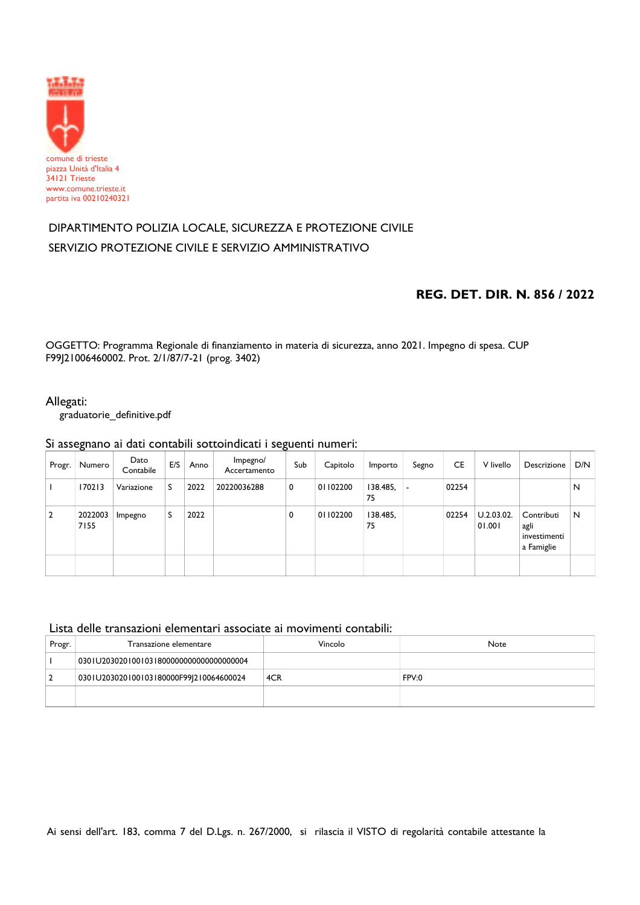

# DIPARTIMENTO POLIZIA LOCALE, SICUREZZA E PROTEZIONE CIVILE SERVIZIO PROTEZIONE CIVILE E SERVIZIO AMMINISTRATIVO

## REG. DET. DIR. N. 856 / 2022

OGGETTO: Programma Regionale di finanziamento in materia di sicurezza, anno 2021. Impegno di spesa. CUP F99J21006460002. Prot. 2/1/87/7-21 (prog. 3402)

## Allegati:

graduatorie\_definitive.pdf

## Si assegnano ai dati contabili sottoindicati i seguenti numeri:

| Progr.         | Numero          | Dato<br>Contabile | E/S | Anno | Impegno/<br>Accertamento | Sub | Capitolo | Importo        | Segno | <b>CE</b> | V livello            | Descrizione                                      | D/N |
|----------------|-----------------|-------------------|-----|------|--------------------------|-----|----------|----------------|-------|-----------|----------------------|--------------------------------------------------|-----|
|                | 170213          | Variazione        | S   | 2022 | 20220036288              | 0   | 01102200 | 138.485,<br>75 | ٠     | 02254     |                      |                                                  | N   |
| $\overline{2}$ | 2022003<br>7155 | Impegno           | S   | 2022 |                          | 0   | 01102200 | 138.485,<br>75 |       | 02254     | U.2.03.02.<br>01.001 | Contributi<br>agli<br>investimenti<br>a Famiglie | N   |
|                |                 |                   |     |      |                          |     |          |                |       |           |                      |                                                  |     |

## Lista delle transazioni elementari associate ai movimenti contabili:

| Progr. | Transazione elementare                   | Vincolo | Note  |
|--------|------------------------------------------|---------|-------|
|        | 0301U20302010010318000000000000000000004 |         |       |
|        | 0301U203020100103180000F99J210064600024  | 4CR     | FPV:0 |
|        |                                          |         |       |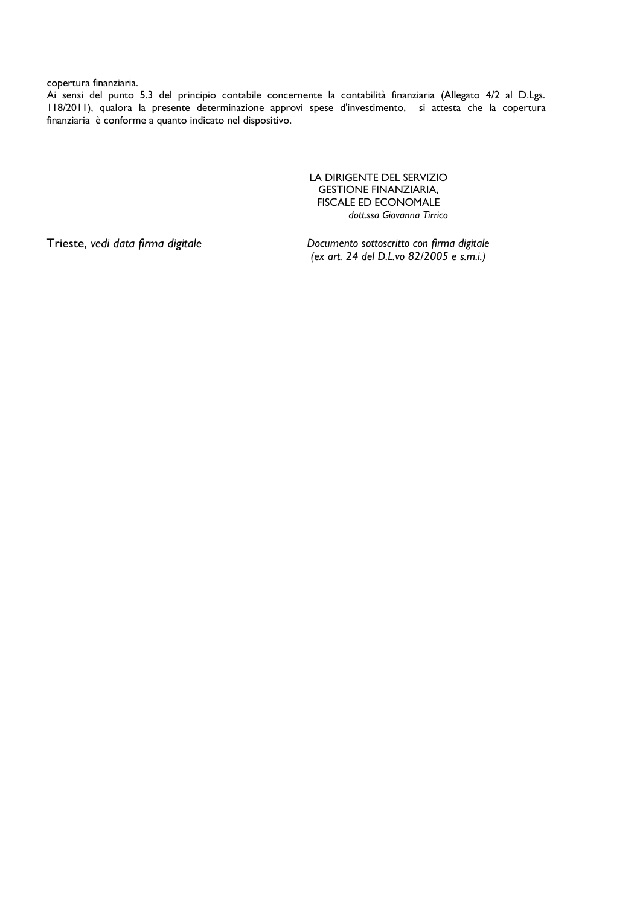### copertura finanziaria.

Ai sensi del punto 5.3 del principio contabile concernente la contabilità finanziaria (Allegato 4/2 al D.Lgs. 118/2011), qualora la presente determinazione approvi spese d'investimento, si attesta che la copertura finanziaria è conforme a quanto indicato nel dispositivo.

> LA DIRIGENTE DEL SERVIZIO **GESTIONE FINANZIARIA,** FISCALE ED ECONOMALE dott.ssa Giovanna Tirrico

Trieste, vedi data firma digitale

Documento sottoscritto con firma digitale (ex art. 24 del D.L.vo 82/2005 e s.m.i.)